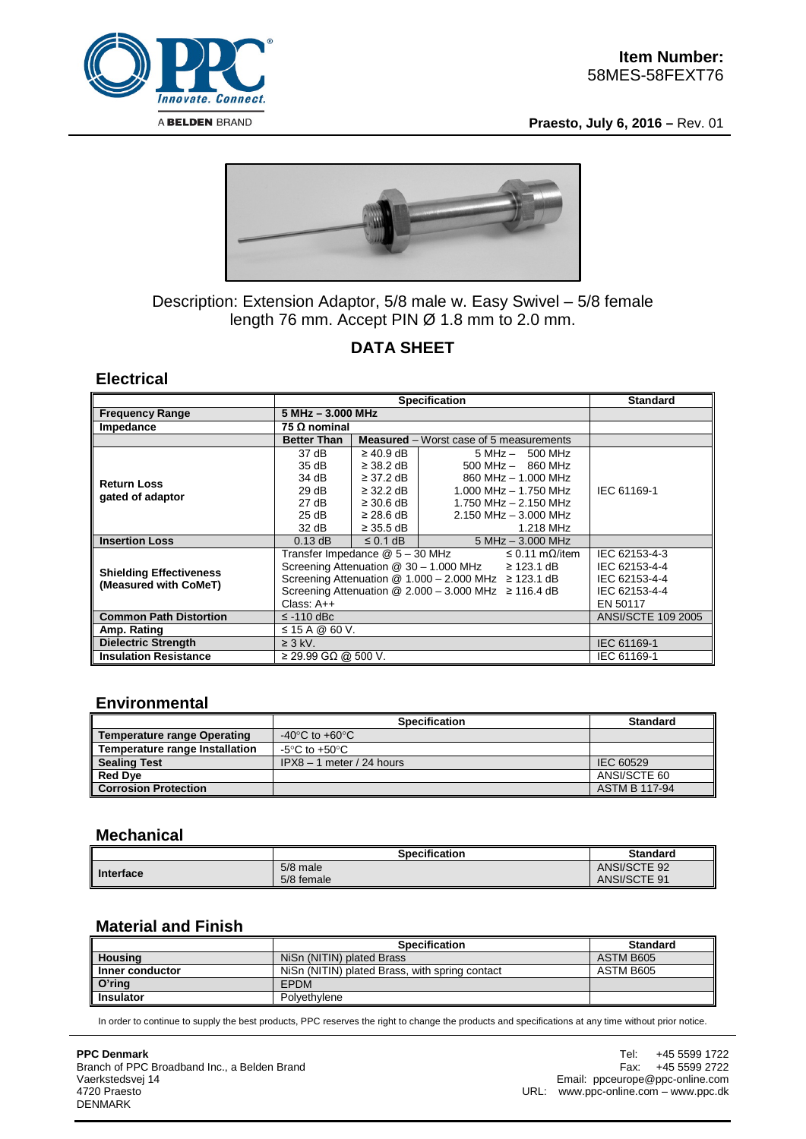

**Praesto, July 6, 2016 –** Rev. 01



## Description: Extension Adaptor, 5/8 male w. Easy Swivel – 5/8 female length 76 mm. Accept PIN Ø 1.8 mm to 2.0 mm.

# **DATA SHEET**

#### **Electrical**

|                                                         | <b>Specification</b>                                            |                           |                                                | <b>Standard</b> |
|---------------------------------------------------------|-----------------------------------------------------------------|---------------------------|------------------------------------------------|-----------------|
| <b>Frequency Range</b>                                  | 5 MHz - 3.000 MHz                                               |                           |                                                |                 |
| Impedance                                               | 75 Ω nominal                                                    |                           |                                                |                 |
|                                                         | <b>Better Than</b>                                              |                           | <b>Measured</b> – Worst case of 5 measurements |                 |
| <b>Return Loss</b><br>gated of adaptor                  | 37 dB                                                           | $\geq 40.9$ dB            | $5 MHz - 500 MHz$                              |                 |
|                                                         | 35 dB                                                           | $\geq$ 38.2 dB            | $500$ MHz $-$ 860 MHz                          |                 |
|                                                         | 34 dB                                                           | $\geq$ 37.2 dB            | 860 MHz - 1,000 MHz                            |                 |
|                                                         | 29 dB                                                           | $\geq$ 32.2 dB            | 1.000 MHz $-$ 1.750 MHz                        | IEC 61169-1     |
|                                                         | 27 dB                                                           | $\geq$ 30.6 dB            | 1.750 MHz $-$ 2.150 MHz                        |                 |
|                                                         | 25 dB                                                           | $\geq$ 28.6 dB            | $2.150$ MHz $-3.000$ MHz                       |                 |
|                                                         | 32 dB                                                           | $\geq$ 35.5 dB            | 1.218 MHz                                      |                 |
| <b>Insertion Loss</b>                                   | $0.13$ dB                                                       | $\leq$ 0.1 dB             | $5 MHz - 3.000 MHz$                            |                 |
| <b>Shielding Effectiveness</b><br>(Measured with CoMeT) | Transfer Impedance @ 5 - 30 MHz<br>$\leq$ 0.11 m $\Omega$ /item |                           |                                                | IEC 62153-4-3   |
|                                                         | Screening Attenuation @ 30 - 1.000 MHz<br>$\geq$ 123.1 dB       |                           |                                                | IEC 62153-4-4   |
|                                                         | Screening Attenuation $@ 1.000 - 2.000$ MHz $\geq 123.1$ dB     |                           |                                                | IEC 62153-4-4   |
|                                                         | Screening Attenuation $@$ 2.000 - 3.000 MHz $\geq$ 116.4 dB     |                           |                                                | IEC 62153-4-4   |
|                                                         | Class: $A++$                                                    | EN 50117                  |                                                |                 |
| <b>Common Path Distortion</b>                           | $\le$ -110 dBc                                                  | <b>ANSI/SCTE 109 2005</b> |                                                |                 |
| Amp. Rating                                             | ≤ 15 A @ 60 V.                                                  |                           |                                                |                 |
| <b>Dielectric Strength</b>                              | $\geq$ 3 kV.                                                    | IEC 61169-1               |                                                |                 |
| <b>Insulation Resistance</b>                            | $\geq$ 29.99 GΩ @ 500 V.                                        |                           |                                                | IEC 61169-1     |

#### **Environmental**

|                                       | <b>Specification</b>        | <b>Standard</b>      |
|---------------------------------------|-----------------------------|----------------------|
| <b>Temperature range Operating</b>    | -40°C to +60°C              |                      |
| <b>Temperature range Installation</b> | -5°C to +50°C               |                      |
| <b>Sealing Test</b>                   | $IPX8 - 1$ meter / 24 hours | IEC 60529            |
| <b>Red Dye</b>                        |                             | ANSI/SCTE 60         |
| <b>Corrosion Protection</b>           |                             | <b>ASTM B 117-94</b> |

## **Mechanical**

|           | Specification | <b>Standard</b> |
|-----------|---------------|-----------------|
| Interface | 5/8 male      | ANSI/SCTE 92    |
|           | 5/8 female    | ANSI/SCTE 91    |

## **Material and Finish**

|                  | <b>Specification</b>                           | <b>Standard</b> |
|------------------|------------------------------------------------|-----------------|
| Housing          | NiSn (NITIN) plated Brass                      | ASTM B605       |
| Inner conductor  | NiSn (NITIN) plated Brass, with spring contact | ASTM B605       |
| $O'$ ring        | <b>EPDM</b>                                    |                 |
| <b>Insulator</b> | Polvethylene                                   |                 |

In order to continue to supply the best products, PPC reserves the right to change the products and specifications at any time without prior notice.

**PPC Denmark** Branch of PPC Broadband Inc., a Belden Brand Vaerkstedsvej 14 4720 Praesto DENMARK